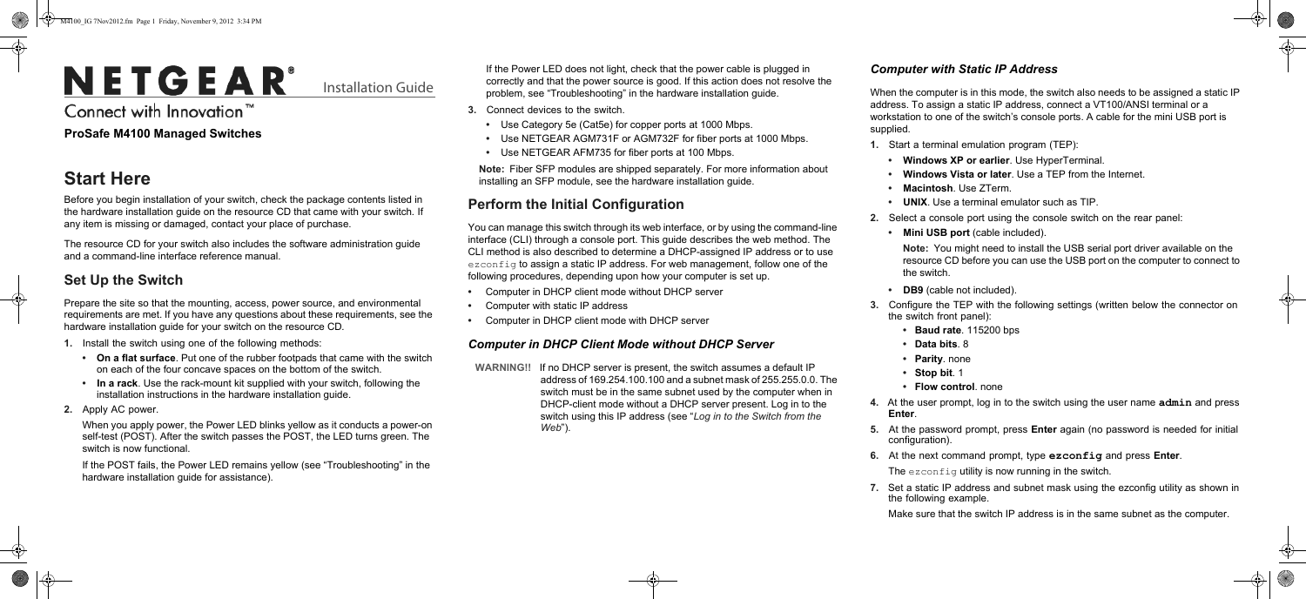# NETGEAR®

Installation Guide

Connect with Innovation"

If the Power LED does not light, check that the power cable is plugged in correctly and that the power source is good. If this action does not resolve the problem, see "Troubleshooting" in the hardware installation guide.

- **3.** Connect devices to the switch.
	- Use Category 5e (Cat5e) for copper ports at 1000 Mbps.
	- Use NETGEAR AGM731F or AGM732F for fiber ports at 1000 Mbps.
	- Use NETGEAR AFM735 for fiber ports at 100 Mbps.

**Note:** Fiber SFP modules are shipped separately. For more information about installing an SFP module, see the hardware installation guide.

## **Perform the Initial Configuration**

You can manage this switch through its web interface, or by using the command-line interface (CLI) through a console port. This guide describes the web method. The CLI method is also described to determine a DHCP-assigned IP address or to use  $\epsilon$ zconfig to assign a static IP address. For web management, follow one of the following procedures, depending upon how your computer is set up.

- Computer in DHCP client mode without DHCP server
- Computer with static IP address
- Computer in DHCP client mode with DHCP server

#### *Computer in DHCP Client Mode without DHCP Server*

**WARNING!!** If no DHCP server is present, the switch assumes a default IP address of 169.254.100.100 and a subnet mask of 255.255.0.0. The switch must be in the same subnet used by the computer when in DHCP-client mode without a DHCP server present. Log in to the switch using this IP address (see "*[Log in to the Switch from the](#page-1-0)  [Web](#page-1-0)*").

#### <span id="page-0-0"></span>*Computer with Static IP Address*

When the computer is in this mode, the switch also needs to be assigned a static IP address. To assign a static IP address, connect a VT100/ANSI terminal or a workstation to one of the switch's console ports. A cable for the mini USB port is

supplied.

**1.** Start a terminal emulation program (TEP):

**• Windows XP or earlier**. Use HyperTerminal.

**• Windows Vista or later**. Use a TEP from the Internet.

**• Macintosh**. Use ZTerm.

**• UNIX**. Use a terminal emulator such as TIP.

**2.** Select a console port using the console switch on the rear panel:

**• Mini USB port** (cable included).

**Note:** You might need to install the USB serial port driver available on the resource CD before you can use the USB port on the computer to connect to the switch.

**DB9** (cable not included).

**3.** Configure the TEP with the following settings (written below the connector on the switch front panel):

**• Baud rate**. 115200 bps

**• Data bits**. 8

**• Parity**. none

**• Stop bit**. 1

**• Flow control**. none

**4.** At the user prompt, log in to the switch using the user name **admin** and press

- 
- 
- 
- 
- 
- 
- 
- 
- 
- 
- 
- 
- 
- 
- 
- 
- **Enter**.
- 
- 
- 
- 
- 
- 

**5.** At the password prompt, press **Enter** again (no password is needed for initial configuration).

**6.** At the next command prompt, type **ezconfig** and press **Enter**.

The ezconfig utility is now running in the switch.

**7.** Set a static IP address and subnet mask using the ezconfig utility as shown in the following example.

Make sure that the switch IP address is in the same subnet as the computer.

#### **ProSafe M4100 Managed Switches**

# **Start Here**

Before you begin installation of your switch, check the package contents listed in the hardware installation guide on the resource CD that came with your switch*.* If any item is missing or damaged, contact your place of purchase.

The resource CD for your switch also includes the software administration guide and a command-line interface reference manual.

### **Set Up the Switch**

Prepare the site so that the mounting, access, power source, and environmental requirements are met. If you have any questions about these requirements, see the hardware installation guide for your switch on the resource CD*.*

- **1.** Install the switch using one of the following methods:
	- **On a flat surface**. Put one of the rubber footpads that came with the switch on each of the four concave spaces on the bottom of the switch.
	- **In a rack**. Use the rack-mount kit supplied with your switch, following the installation instructions in the hardware installation guide.
- **2.** Apply AC power.

When you apply power, the Power LED blinks yellow as it conducts a power-on self-test (POST). After the switch passes the POST, the LED turns green. The switch is now functional.

If the POST fails, the Power LED remains yellow (see "Troubleshooting" in the hardware installation guide for assistance).